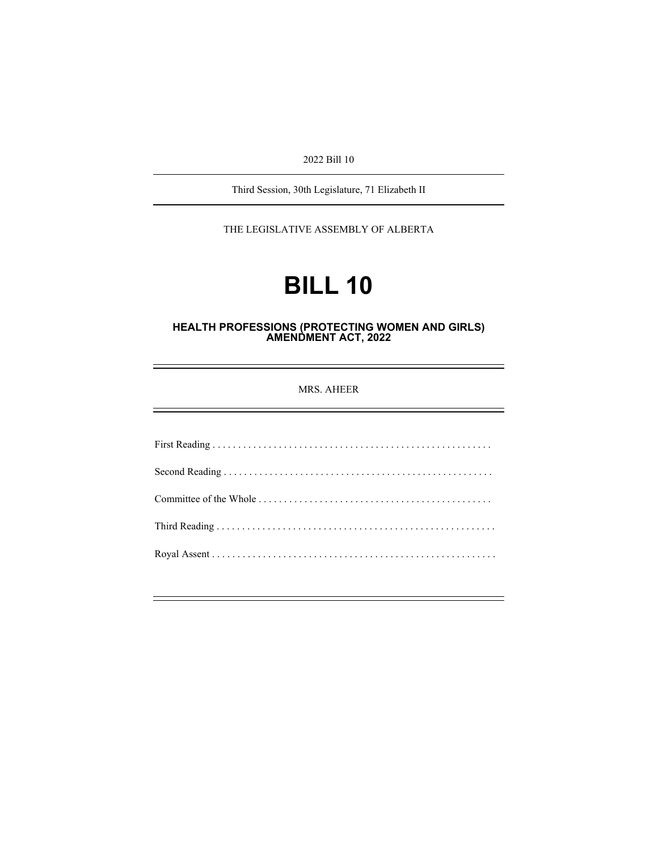2022 Bill 10

Third Session, 30th Legislature, 71 Elizabeth II

THE LEGISLATIVE ASSEMBLY OF ALBERTA

# **BILL 10**

#### **HEALTH PROFESSIONS (PROTECTING WOMEN AND GIRLS) AMENDMENT ACT, 2022**

MRS. AHEER

First Reading . . . . . . . . . . . . . . . . . . . . . . . . . . . . . . . . . . . . . . . . . . . . . . . . . . . . . . . Second Reading . . . . . . . . . . . . . . . . . . . . . . . . . . . . . . . . . . . . . . . . . . . . . . . . . . . . . Committee of the Whole . . . . . . . . . . . . . . . . . . . . . . . . . . . . . . . . . . . . . . . . . . . . . . Third Reading . . . . . . . . . . . . . . . . . . . . . . . . . . . . . . . . . . . . . . . . . . . . . . . . . . . . . . . Royal Assent . . . . . . . . . . . . . . . . . . . . . . . . . . . . . . . . . . . . . . . . . . . . . . . . . . . . . . . .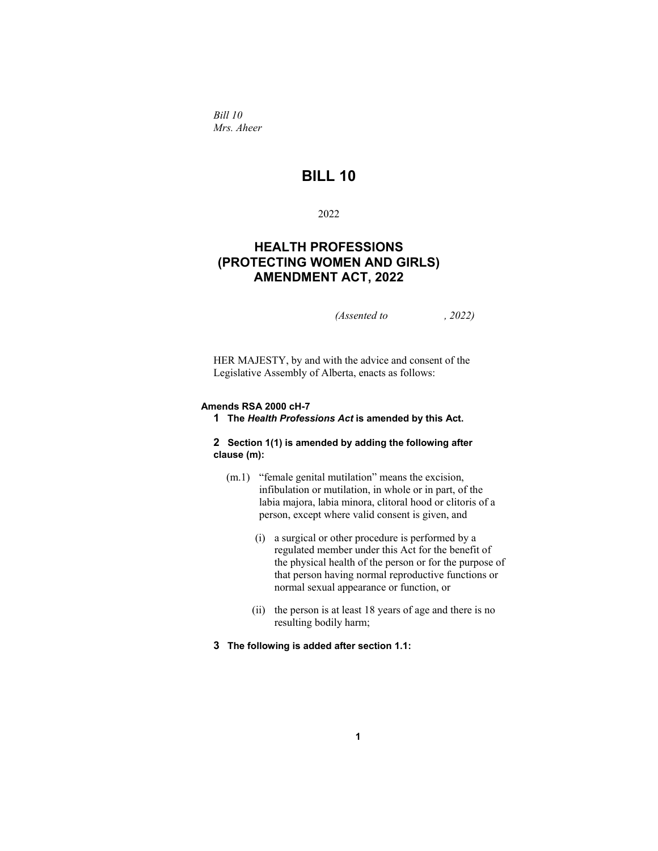*Bill 10 Mrs. Aheer* 

# **BILL 10**

# 2022

# **HEALTH PROFESSIONS (PROTECTING WOMEN AND GIRLS) AMENDMENT ACT, 2022**

*(Assented to , 2022)* 

HER MAJESTY, by and with the advice and consent of the Legislative Assembly of Alberta, enacts as follows:

#### **Amends RSA 2000 cH-7**

**1 The** *Health Professions Act* **is amended by this Act.** 

#### **2 Section 1(1) is amended by adding the following after clause (m):**

- (m.1) "female genital mutilation" means the excision, infibulation or mutilation, in whole or in part, of the labia majora, labia minora, clitoral hood or clitoris of a person, except where valid consent is given, and
	- (i) a surgical or other procedure is performed by a regulated member under this Act for the benefit of the physical health of the person or for the purpose of that person having normal reproductive functions or normal sexual appearance or function, or
	- (ii) the person is at least 18 years of age and there is no resulting bodily harm;
- **3 The following is added after section 1.1:**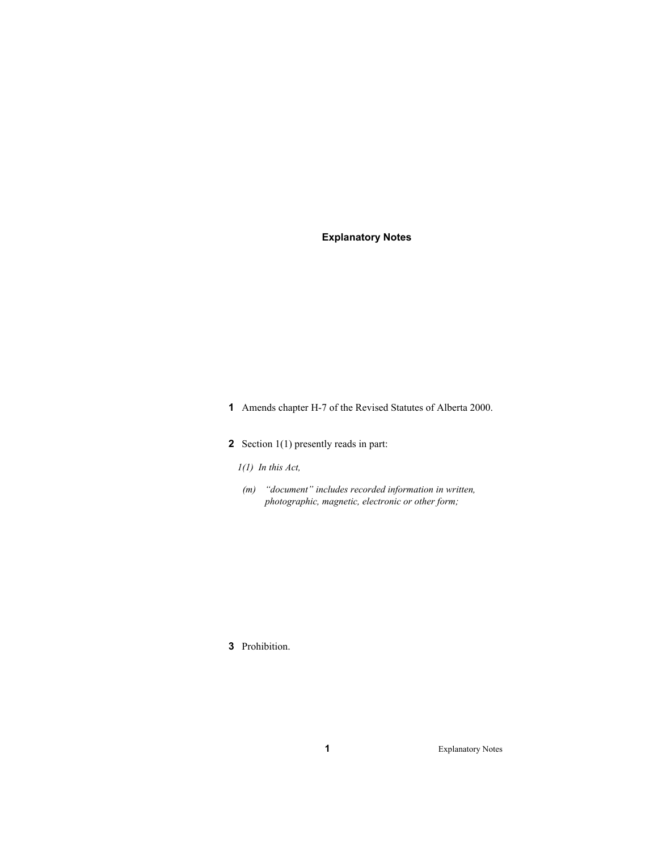# **Explanatory Notes**

- **1** Amends chapter H-7 of the Revised Statutes of Alberta 2000.
- **2** Section 1(1) presently reads in part:
	- *1(1) In this Act,*
	- *(m) "document" includes recorded information in written, photographic, magnetic, electronic or other form;*

# **3** Prohibition.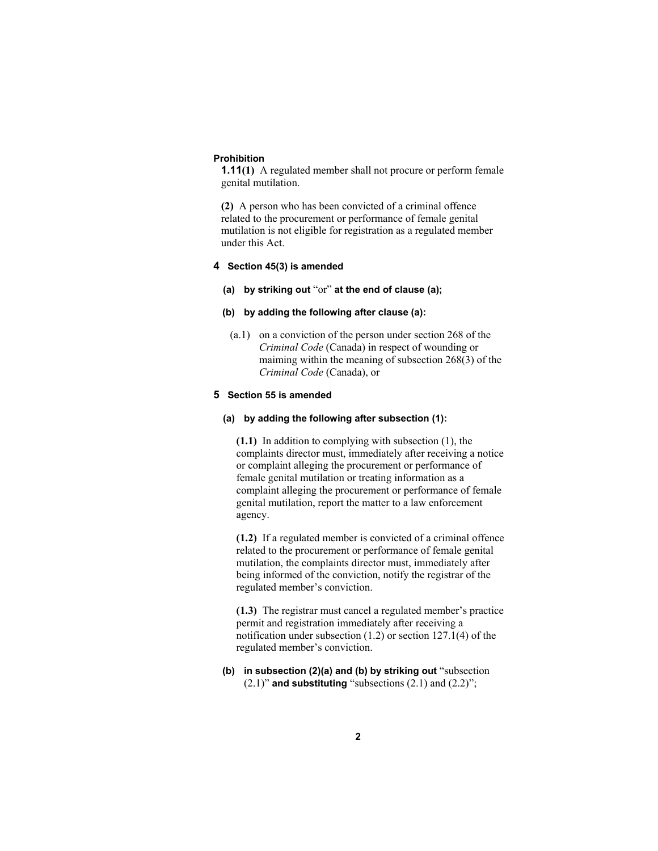#### **Prohibition**

**1.11(1)** A regulated member shall not procure or perform female genital mutilation.

**(2)** A person who has been convicted of a criminal offence related to the procurement or performance of female genital mutilation is not eligible for registration as a regulated member under this Act.

# **4 Section 45(3) is amended**

**(a) by striking out** "or" **at the end of clause (a);**

# **(b) by adding the following after clause (a):**

 (a.1) on a conviction of the person under section 268 of the *Criminal Code* (Canada) in respect of wounding or maiming within the meaning of subsection 268(3) of the *Criminal Code* (Canada), or

# **5 Section 55 is amended**

#### **(a) by adding the following after subsection (1):**

**(1.1)** In addition to complying with subsection (1), the complaints director must, immediately after receiving a notice or complaint alleging the procurement or performance of female genital mutilation or treating information as a complaint alleging the procurement or performance of female genital mutilation, report the matter to a law enforcement agency.

**(1.2)** If a regulated member is convicted of a criminal offence related to the procurement or performance of female genital mutilation, the complaints director must, immediately after being informed of the conviction, notify the registrar of the regulated member's conviction.

**(1.3)** The registrar must cancel a regulated member's practice permit and registration immediately after receiving a notification under subsection (1.2) or section 127.1(4) of the regulated member's conviction.

**(b) in subsection (2)(a) and (b) by striking out** "subsection  $(2.1)$ " **and substituting** "subsections  $(2.1)$  and  $(2.2)$ ";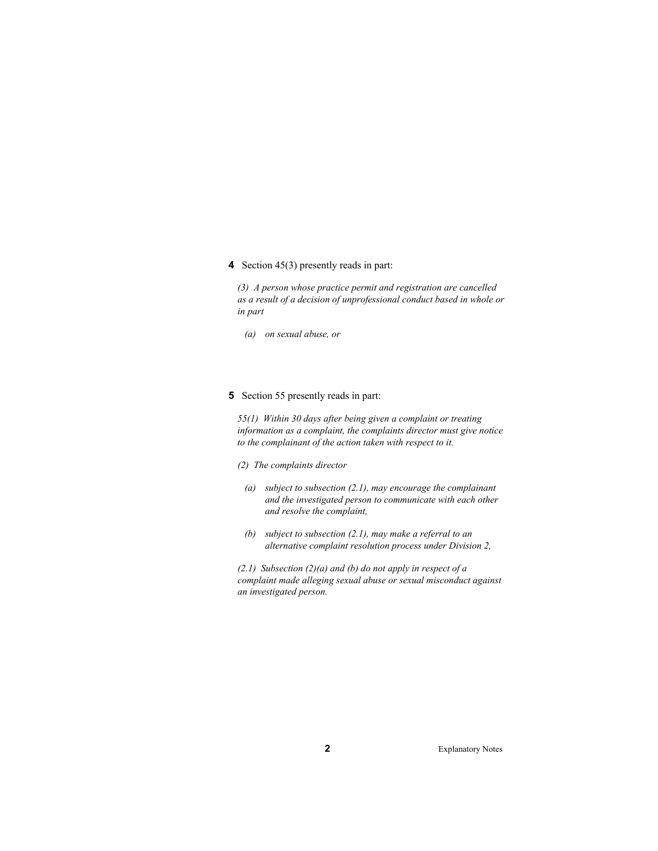# **4** Section 45(3) presently reads in part:

*(3) A person whose practice permit and registration are cancelled as a result of a decision of unprofessional conduct based in whole or in part* 

 *(a) on sexual abuse, or* 

# **5** Section 55 presently reads in part:

*55(1) Within 30 days after being given a complaint or treating information as a complaint, the complaints director must give notice to the complainant of the action taken with respect to it.* 

*(2) The complaints director* 

- *(a) subject to subsection (2.1), may encourage the complainant and the investigated person to communicate with each other and resolve the complaint,*
- *(b) subject to subsection (2.1), may make a referral to an alternative complaint resolution process under Division 2,*

*(2.1) Subsection (2)(a) and (b) do not apply in respect of a complaint made alleging sexual abuse or sexual misconduct against an investigated person.*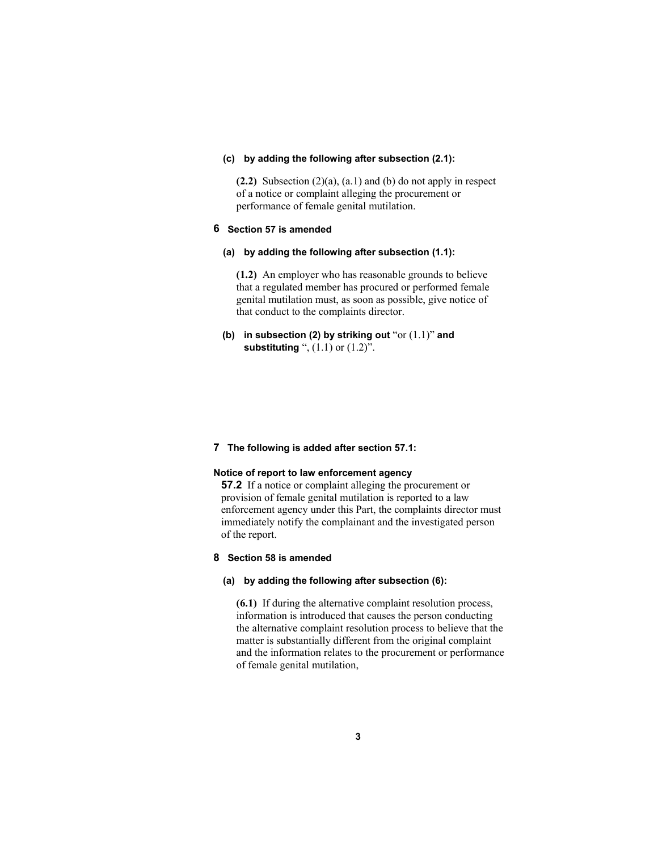#### **(c) by adding the following after subsection (2.1):**

**(2.2)** Subsection (2)(a), (a.1) and (b) do not apply in respect of a notice or complaint alleging the procurement or performance of female genital mutilation.

### **6 Section 57 is amended**

**(a) by adding the following after subsection (1.1):** 

**(1.2)** An employer who has reasonable grounds to believe that a regulated member has procured or performed female genital mutilation must, as soon as possible, give notice of that conduct to the complaints director.

**(b) in subsection (2) by striking out** "or (1.1)" **and substituting** ", (1.1) or (1.2)".

#### **7 The following is added after section 57.1:**

# **Notice of report to law enforcement agency**

**57.2** If a notice or complaint alleging the procurement or provision of female genital mutilation is reported to a law enforcement agency under this Part, the complaints director must immediately notify the complainant and the investigated person of the report.

#### **8 Section 58 is amended**

#### **(a) by adding the following after subsection (6):**

**(6.1)** If during the alternative complaint resolution process, information is introduced that causes the person conducting the alternative complaint resolution process to believe that the matter is substantially different from the original complaint and the information relates to the procurement or performance of female genital mutilation,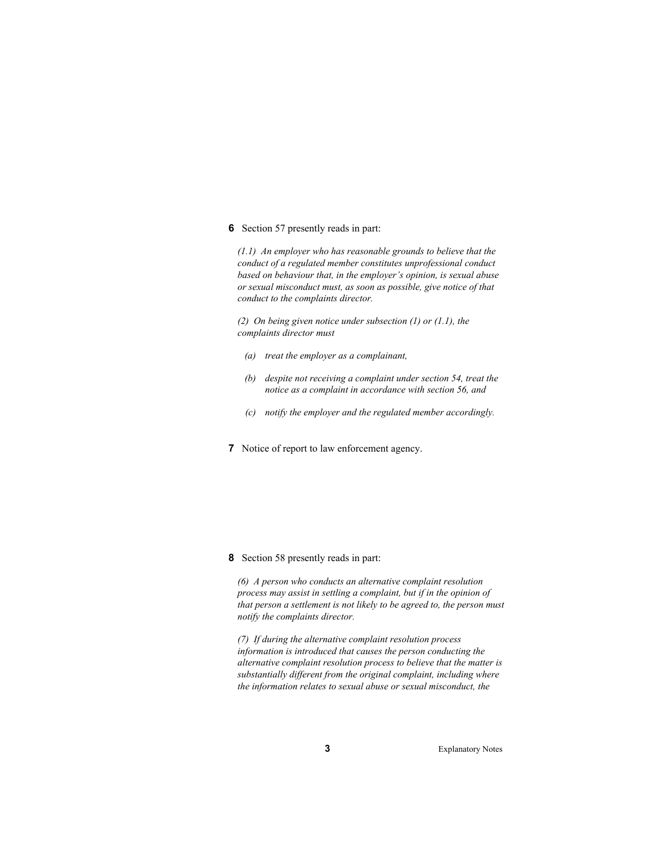**6** Section 57 presently reads in part:

*(1.1) An employer who has reasonable grounds to believe that the conduct of a regulated member constitutes unprofessional conduct based on behaviour that, in the employer's opinion, is sexual abuse or sexual misconduct must, as soon as possible, give notice of that conduct to the complaints director.* 

*(2) On being given notice under subsection (1) or (1.1), the complaints director must* 

- *(a) treat the employer as a complainant,*
- *(b) despite not receiving a complaint under section 54, treat the notice as a complaint in accordance with section 56, and*
- *(c) notify the employer and the regulated member accordingly.*
- **7** Notice of report to law enforcement agency.

**8** Section 58 presently reads in part:

*(6) A person who conducts an alternative complaint resolution process may assist in settling a complaint, but if in the opinion of that person a settlement is not likely to be agreed to, the person must notify the complaints director.* 

*(7) If during the alternative complaint resolution process information is introduced that causes the person conducting the alternative complaint resolution process to believe that the matter is substantially different from the original complaint, including where the information relates to sexual abuse or sexual misconduct, the*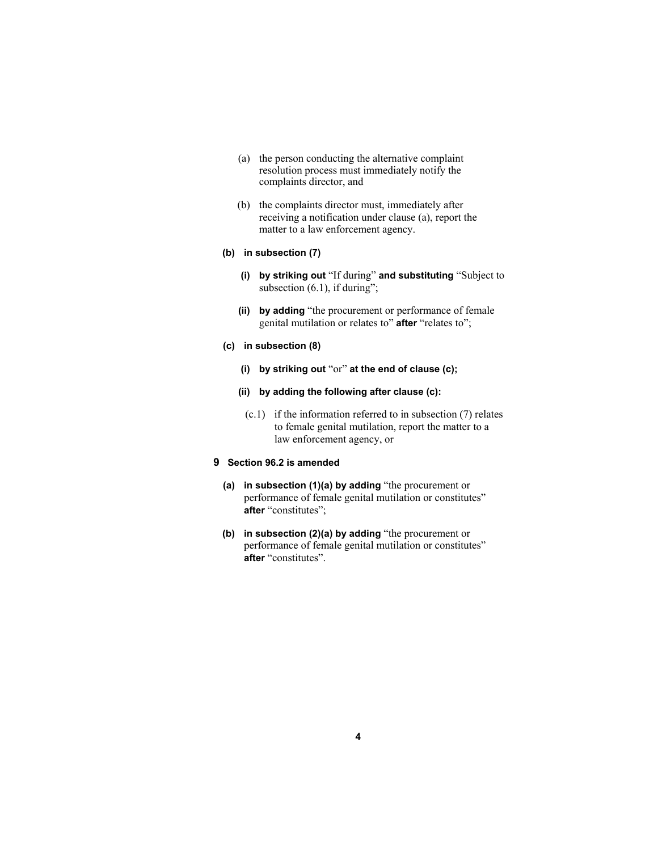- (a) the person conducting the alternative complaint resolution process must immediately notify the complaints director, and
- (b) the complaints director must, immediately after receiving a notification under clause (a), report the matter to a law enforcement agency.

#### **(b) in subsection (7)**

- **(i) by striking out** "If during" **and substituting** "Subject to subsection (6.1), if during";
- **(ii) by adding** "the procurement or performance of female genital mutilation or relates to" **after** "relates to";
- **(c) in subsection (8)** 
	- **(i) by striking out** "or" **at the end of clause (c);**
	- **(ii) by adding the following after clause (c):** 
		- (c.1) if the information referred to in subsection (7) relates to female genital mutilation, report the matter to a law enforcement agency, or

#### **9 Section 96.2 is amended**

- **(a) in subsection (1)(a) by adding** "the procurement or performance of female genital mutilation or constitutes" **after** "constitutes";
- **(b) in subsection (2)(a) by adding** "the procurement or performance of female genital mutilation or constitutes" **after** "constitutes".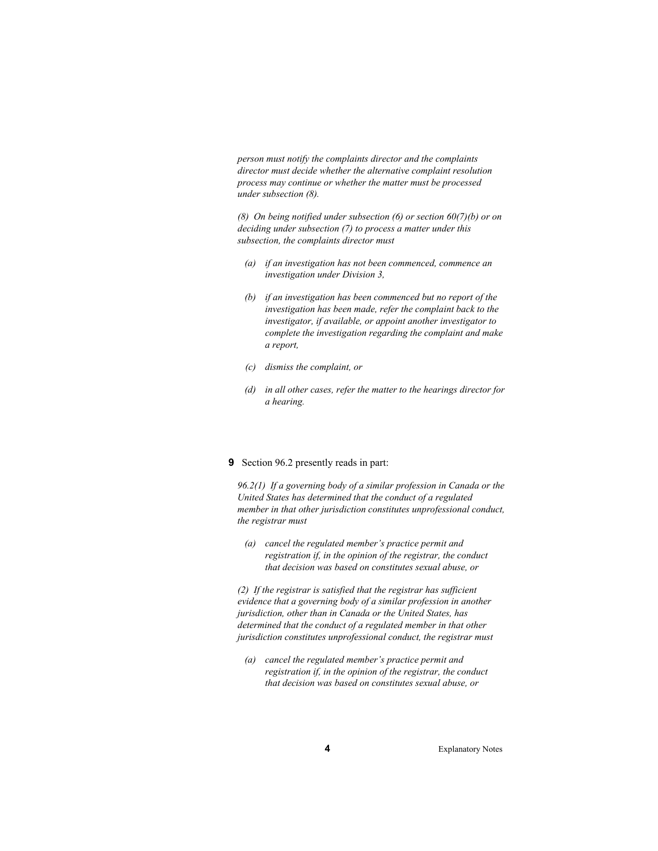*person must notify the complaints director and the complaints director must decide whether the alternative complaint resolution process may continue or whether the matter must be processed under subsection (8).* 

*(8) On being notified under subsection (6) or section 60(7)(b) or on deciding under subsection (7) to process a matter under this subsection, the complaints director must* 

- *(a) if an investigation has not been commenced, commence an investigation under Division 3,*
- *(b) if an investigation has been commenced but no report of the investigation has been made, refer the complaint back to the investigator, if available, or appoint another investigator to complete the investigation regarding the complaint and make a report,*
- *(c) dismiss the complaint, or*
- *(d) in all other cases, refer the matter to the hearings director for a hearing.*

#### **9** Section 96.2 presently reads in part:

*96.2(1) If a governing body of a similar profession in Canada or the United States has determined that the conduct of a regulated member in that other jurisdiction constitutes unprofessional conduct, the registrar must* 

 *(a) cancel the regulated member's practice permit and registration if, in the opinion of the registrar, the conduct that decision was based on constitutes sexual abuse, or* 

*(2) If the registrar is satisfied that the registrar has sufficient evidence that a governing body of a similar profession in another jurisdiction, other than in Canada or the United States, has determined that the conduct of a regulated member in that other jurisdiction constitutes unprofessional conduct, the registrar must* 

 *(a) cancel the regulated member's practice permit and registration if, in the opinion of the registrar, the conduct that decision was based on constitutes sexual abuse, or*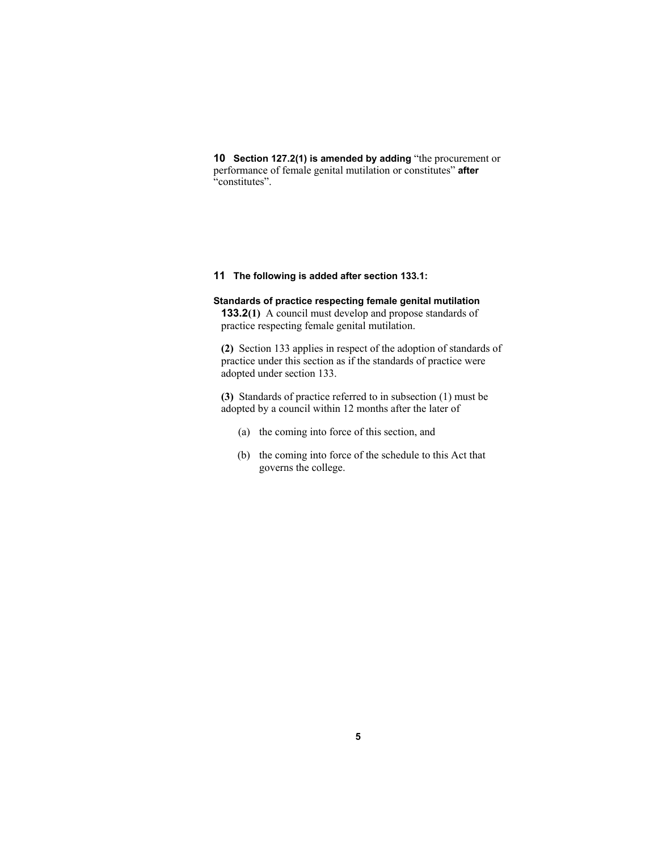**10 Section 127.2(1) is amended by adding** "the procurement or performance of female genital mutilation or constitutes" **after** "constitutes".

# **11 The following is added after section 133.1:**

# **Standards of practice respecting female genital mutilation 133.2(1)** A council must develop and propose standards of

practice respecting female genital mutilation.

**(2)** Section 133 applies in respect of the adoption of standards of practice under this section as if the standards of practice were adopted under section 133.

**(3)** Standards of practice referred to in subsection (1) must be adopted by a council within 12 months after the later of

- (a) the coming into force of this section, and
- (b) the coming into force of the schedule to this Act that governs the college.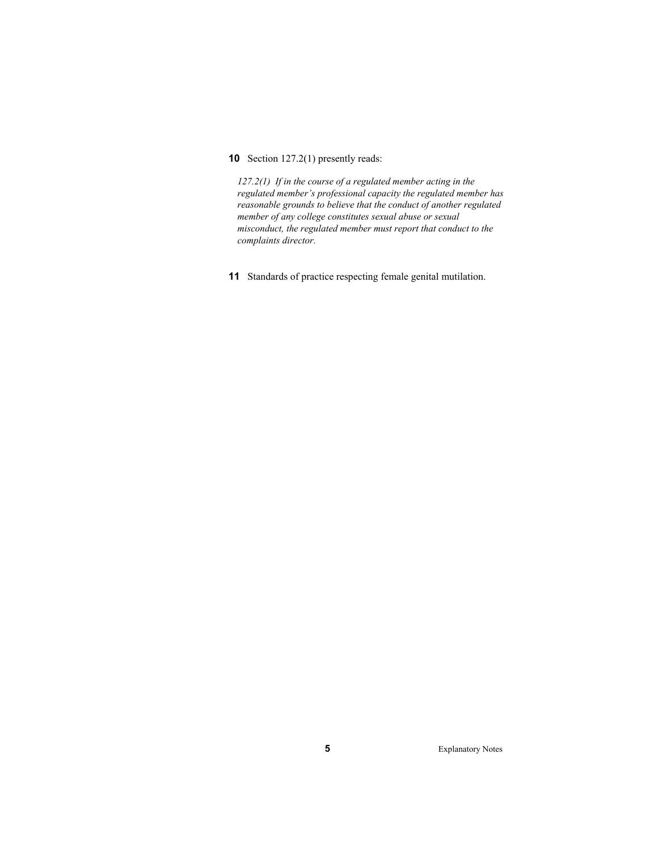# **10** Section 127.2(1) presently reads:

*127.2(1) If in the course of a regulated member acting in the regulated member's professional capacity the regulated member has reasonable grounds to believe that the conduct of another regulated member of any college constitutes sexual abuse or sexual misconduct, the regulated member must report that conduct to the complaints director.* 

**11** Standards of practice respecting female genital mutilation.